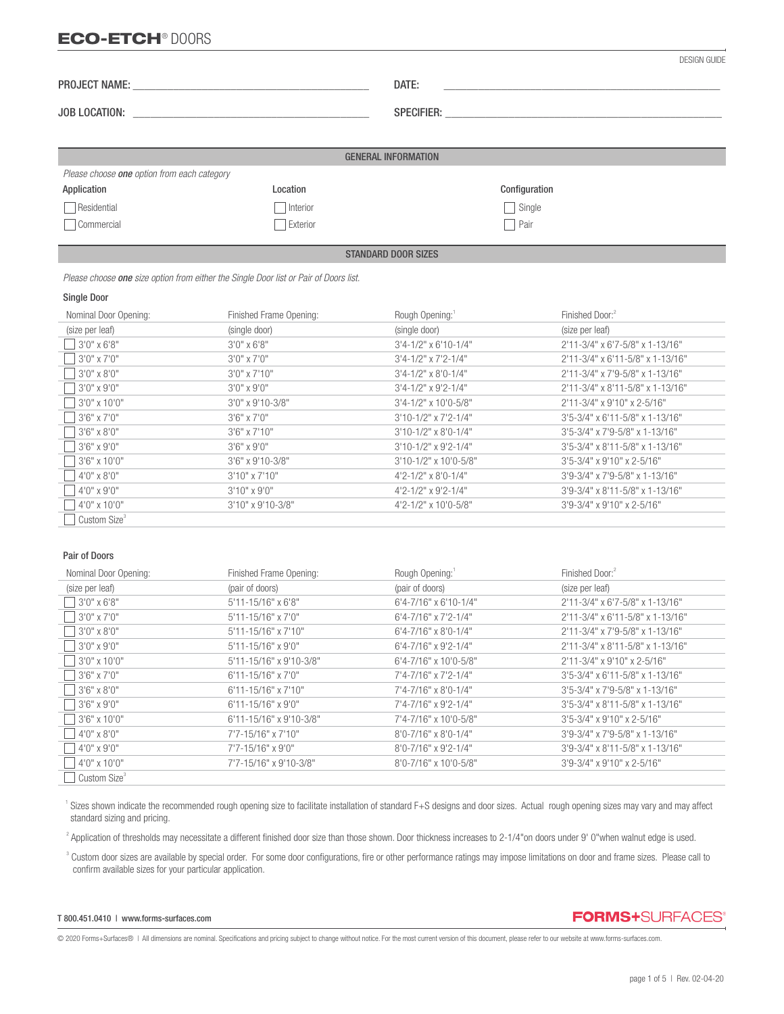# ECO-ETCH® DOORS

|                                                    |          | DATE:                      |               |  |
|----------------------------------------------------|----------|----------------------------|---------------|--|
|                                                    |          |                            |               |  |
|                                                    |          |                            |               |  |
|                                                    |          | <b>GENERAL INFORMATION</b> |               |  |
| Please choose <b>one</b> option from each category |          |                            |               |  |
| Application                                        | Location |                            | Configuration |  |
| Residential                                        | Interior |                            | Single        |  |
| Commercial                                         | Exterior |                            | Pair          |  |

#### STANDARD DOOR SIZES

 *Please choose one size option from either the Single Door list or Pair of Doors list.*

#### Single Door

l

| Nominal Door Opening:    | Finished Frame Opening: | Rough Opening:                | Finished Door: <sup>2</sup>          |
|--------------------------|-------------------------|-------------------------------|--------------------------------------|
| (size per leaf)          | (single door)           | (single door)                 | (size per leaf)                      |
| $13'0''$ x 6'8"          | $3'0''$ x 6'8"          | $3'4 - 1/2''$ x 6'10-1/4"     | $2'11-3/4"$ x 6'7-5/8" x 1-13/16"    |
| $3'0''$ x 7'0"           | $3'0''$ x $7'0''$       | $3'4 - 1/2''$ x $7'2 - 1/4''$ | 2'11-3/4" x 6'11-5/8" x 1-13/16"     |
| 3'0" x 8'0"              | $3'0''$ x $7'10''$      | $3'4 - 1/2''$ x 8'0-1/4"      | 2'11-3/4" x 7'9-5/8" x 1-13/16"      |
| $3'0''$ x 9'0"           | $3'0''$ x 9'0"          | $3'4 - 1/2''$ x 9'2-1/4"      | 2'11-3/4" x 8'11-5/8" x 1-13/16"     |
| $13'0''$ x 10'0"         | 3'0" x 9'10-3/8"        | $3'4 - 1/2''$ x 10'0-5/8"     | $2'11-3/4"$ x 9'10" x 2-5/16"        |
| $3'6'' \times 7'0''$     | $3'6''$ x 7'0"          | $3'10-1/2"$ x 7'2-1/4"        | 3'5-3/4" x 6'11-5/8" x 1-13/16"      |
| 3'6" x 8'0"              | $3'6''$ x $7'10''$      | $3'10-1/2" \times 8'0-1/4"$   | $3'5 - 3/4''$ x 7'9-5/8" x 1-13/16"  |
| $3'6'' \times 9'0''$     | $3'6''$ x 9'0"          | $3'10-1/2''$ x 9'2-1/4"       | $3'5 - 3/4''$ x 8'11-5/8" x 1-13/16" |
| $13'6''$ x 10'0"         | $3'6''$ x 9'10-3/8"     | $3'10-1/2"$ x 10'0-5/8"       | $3'5 - 3/4''$ x 9'10" x 2-5/16"      |
| 4'0" x 8'0"              | $3'10''$ x $7'10''$     | $4'2 - 1/2''$ x 8'0-1/4"      | 3'9-3/4" x 7'9-5/8" x 1-13/16"       |
| $14'0''$ x 9'0"          | $3'10''$ x 9'0"         | $4'2 - 1/2''$ x 9'2-1/4"      | 3'9-3/4" x 8'11-5/8" x 1-13/16"      |
| 14'0" x 10'0"            | $3'10''$ x 9'10-3/8"    | 4'2-1/2" x 10'0-5/8"          | $3'9 - 3/4''$ x 9'10" x 2-5/16"      |
| Custom Size <sup>3</sup> |                         |                               |                                      |

#### Pair of Doors

| Nominal Door Opening:    | Finished Frame Opening:     | Rough Opening:                 | Finished Door: <sup>2</sup>        |
|--------------------------|-----------------------------|--------------------------------|------------------------------------|
| (size per leaf)          | (pair of doors)             | (pair of doors)                | (size per leaf)                    |
| $3'0''$ x 6'8"           | $5'11 - 15/16''$ x 6'8"     | 6'4-7/16" x 6'10-1/4"          | 2'11-3/4" x 6'7-5/8" x 1-13/16"    |
| $3'0''$ x 7'0"           | $5'11 - 15/16''$ x $7'0''$  | $6'4 - 7/16''$ x 7'2-1/4"      | $2'11-3/4"$ x 6'11-5/8" x 1-13/16" |
| $3'0''$ x 8'0"           | 5'11-15/16" x 7'10"         | 6'4-7/16" x 8'0-1/4"           | 2'11-3/4" x 7'9-5/8" x 1-13/16"    |
| $3'0''$ x 9'0"           | 5'11-15/16" x 9'0"          | $6'4 - 7/16''$ x 9'2-1/4"      | 2'11-3/4" x 8'11-5/8" x 1-13/16"   |
| $3'0''$ x 10'0"          | 5'11-15/16" x 9'10-3/8"     | 6'4-7/16" x 10'0-5/8"          | 2'11-3/4" x 9'10" x 2-5/16"        |
| $13'6''$ x 7'0"          | $6'11 - 15/16''$ x $7'0''$  | 7'4-7/16" x 7'2-1/4"           | 3'5-3/4" x 6'11-5/8" x 1-13/16"    |
| $3'6'' \times 8'0''$     | $6'11 - 15/16''$ x $7'10''$ | 7'4-7/16" x 8'0-1/4"           | 3'5-3/4" x 7'9-5/8" x 1-13/16"     |
| $13'6''$ x 9'0"          | $6'11 - 15/16''$ x 9'0"     | 7'4-7/16" x 9'2-1/4"           | 3'5-3/4" x 8'11-5/8" x 1-13/16"    |
| $13'6''$ x 10'0"         | 6'11-15/16" x 9'10-3/8"     | 7'4-7/16" x 10'0-5/8"          | $3'5 - 3/4''$ x 9'10" x 2-5/16"    |
| 4'0" x 8'0"              | 7'7-15/16" x 7'10"          | $8'0 - 7/16''$ x $8'0 - 1/4''$ | 3'9-3/4" x 7'9-5/8" x 1-13/16"     |
| $14'0''$ x 9'0"          | 7'7-15/16" x 9'0"           | 8'0-7/16" x 9'2-1/4"           | 3'9-3/4" x 8'11-5/8" x 1-13/16"    |
| $ 4'0'' \times 10'0''$   | 7'7-15/16" x 9'10-3/8"      | 8'0-7/16" x 10'0-5/8"          | 3'9-3/4" x 9'10" x 2-5/16"         |
| Custom Size <sup>3</sup> |                             |                                |                                    |

<sup>1</sup> Sizes shown indicate the recommended rough opening size to facilitate installation of standard F+S designs and door sizes. Actual rough opening sizes may vary and may affect standard sizing and pricing.

<sup>2</sup> Application of thresholds may necessitate a different finished door size than those shown. Door thickness increases to 2-1/4"on doors under 9' 0"when walnut edge is used.

<sup>3</sup> Custom door sizes are available by special order. For some door configurations, fire or other performance ratings may impose limitations on door and frame sizes. Please call to confirm available sizes for your particular application.

#### T 800.451.0410 | www.forms-surfaces.com

**FORMS+SURFACES®** 

© 2020 Forms+Surfaces® | All dimensions are nominal. Specifications and pricing subject to change without notice. For the most current version of this document, please refer to our website at www.forms-surfaces.com.

DESIGN GUIDE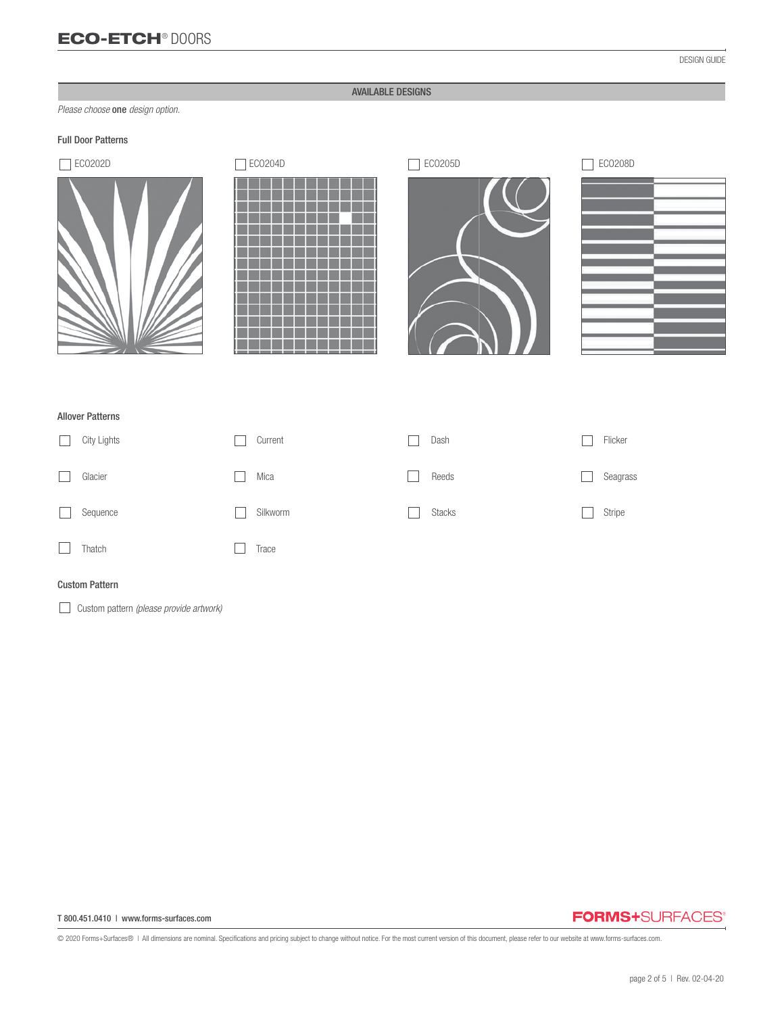## AVAILABLE DESIGNS

*Please choose* one *design option.*

## Full Door Patterns







## Allover Patterns

| City Lights | Current  | Dash          | Flicker  |
|-------------|----------|---------------|----------|
| Glacier     | Mica     | Reeds         | Seagrass |
| Sequence    | Silkworm | <b>Stacks</b> | Stripe   |
| Thatch      | Trace    |               |          |

### Custom Pattern

Custom pattern *(please provide artwork)*

#### T 800.451.0410 | www.forms-surfaces.com

# **FORMS+SURFACES®**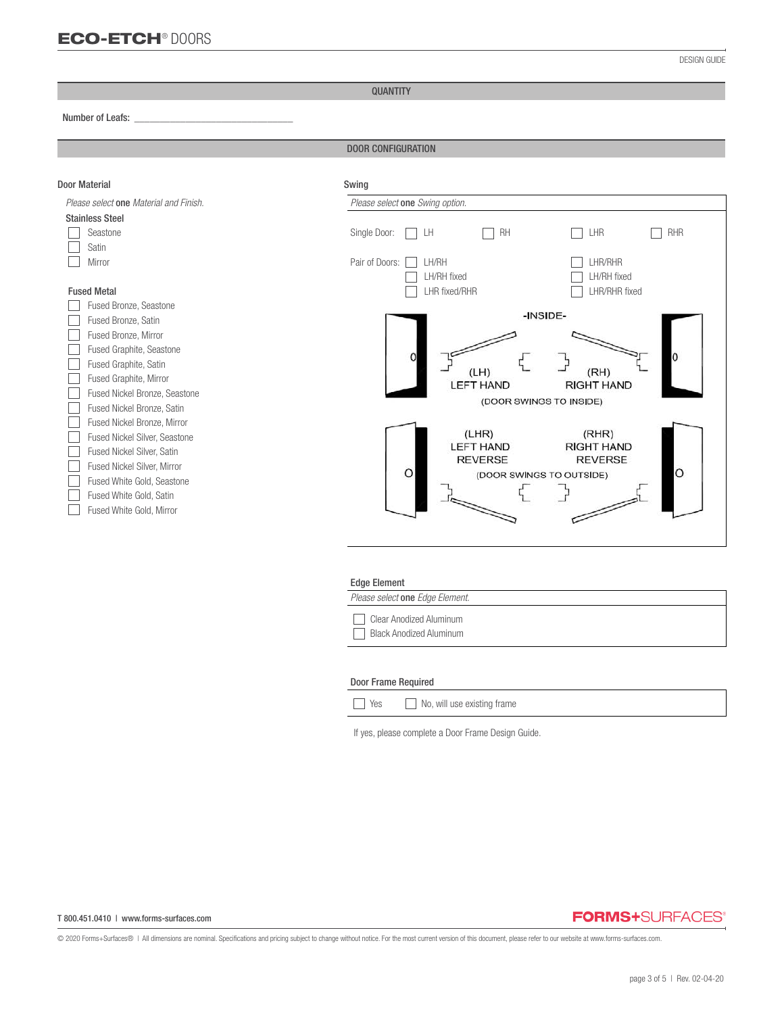#### QUANTITY

#### Number of Leafs: *\_\_\_\_\_\_\_\_\_\_\_\_\_\_\_\_\_\_\_\_\_\_\_\_\_\_\_\_\_\_\_*

֦

#### DOOR CONFIGURATION



#### Door Frame Required

| Yes |  |  | No, will use existing frame |  |
|-----|--|--|-----------------------------|--|
|-----|--|--|-----------------------------|--|

If yes, please complete a Door Frame Design Guide.

#### T 800.451.0410 | www.forms-surfaces.com

# **FORMS+SURFACES®**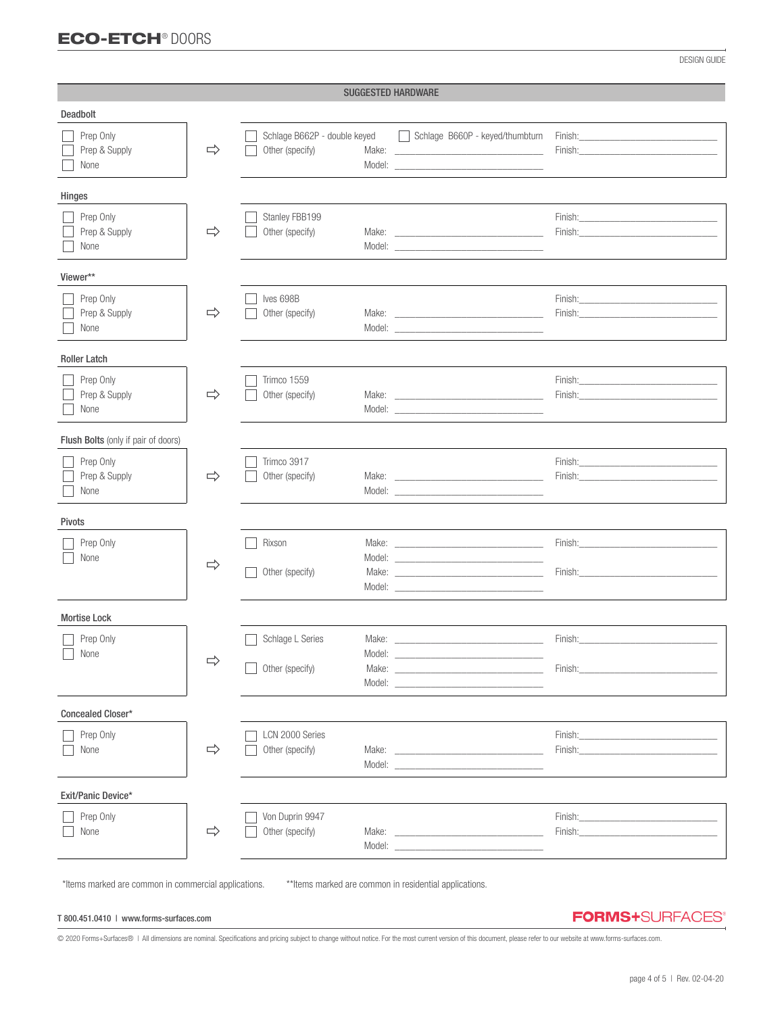# ECO-ETCH® DOORS

DESIGN GUIDE

| <b>SUGGESTED HARDWARE</b>           |               |                                                 |                                                                                                                                                                                                                                                                                                                                                                                                                                                                 |                                                                                                                                                                                                                                                                                                                                                                                                                                                                        |  |
|-------------------------------------|---------------|-------------------------------------------------|-----------------------------------------------------------------------------------------------------------------------------------------------------------------------------------------------------------------------------------------------------------------------------------------------------------------------------------------------------------------------------------------------------------------------------------------------------------------|------------------------------------------------------------------------------------------------------------------------------------------------------------------------------------------------------------------------------------------------------------------------------------------------------------------------------------------------------------------------------------------------------------------------------------------------------------------------|--|
| Deadbolt                            |               |                                                 |                                                                                                                                                                                                                                                                                                                                                                                                                                                                 |                                                                                                                                                                                                                                                                                                                                                                                                                                                                        |  |
| Prep Only<br>Prep & Supply<br>None  | $\Rightarrow$ | Schlage B662P - double keyed<br>Other (specify) | Schlage B660P - keyed/thumbturn                                                                                                                                                                                                                                                                                                                                                                                                                                 | Finish: Entertainment of the state of the state of the state of the state of the state of the state of the state of the state of the state of the state of the state of the state of the state of the state of the state of th<br>Finish: Enish and the state of the state of the state of the state of the state of the state of the state of the state of the state of the state of the state of the state of the state of the state of the state of the state       |  |
| Hinges                              |               |                                                 |                                                                                                                                                                                                                                                                                                                                                                                                                                                                 |                                                                                                                                                                                                                                                                                                                                                                                                                                                                        |  |
| Prep Only<br>Prep & Supply<br>None  | $\Rightarrow$ | Stanley FBB199<br>Other (specify)               | Model: New York and the state of the state of the state of the state of the state of the state of the state of the state of the state of the state of the state of the state of the state of the state of the state of the sta                                                                                                                                                                                                                                  | Finish: The contract of the contract of the contract of the contract of the contract of the contract of the contract of the contract of the contract of the contract of the contract of the contract of the contract of the co<br>Finish: Entrance and the contract of the contract of the contract of the contract of the contract of the contract of the contract of the contract of the contract of the contract of the contract of the contract of the contr       |  |
| Viewer**                            |               |                                                 |                                                                                                                                                                                                                                                                                                                                                                                                                                                                 |                                                                                                                                                                                                                                                                                                                                                                                                                                                                        |  |
| Prep Only<br>Prep & Supply<br>None  | $\Rightarrow$ | Ives 698B<br>Other (specify)                    | Model: New York and the state of the state of the state of the state of the state of the state of the state of the state of the state of the state of the state of the state of the state of the state of the state of the sta                                                                                                                                                                                                                                  | Finish: The Company of the Company of the Company of the Company of the Company of the Company of the Company of the Company of the Company of the Company of the Company of the Company of the Company of the Company of the                                                                                                                                                                                                                                          |  |
| <b>Roller Latch</b>                 |               |                                                 |                                                                                                                                                                                                                                                                                                                                                                                                                                                                 |                                                                                                                                                                                                                                                                                                                                                                                                                                                                        |  |
| Prep Only<br>Prep & Supply<br>None  | $\Rightarrow$ | Trimco 1559<br>Other (specify)                  | Make: National Commission of the Commission of the Commission of the Commission of the Commission of the Commission of the Commission of the Commission of the Commission of the Commission of the Commission of the Commissio                                                                                                                                                                                                                                  | Finish: Enterprise of the state of the state of the state of the state of the state of the state of the state of the state of the state of the state of the state of the state of the state of the state of the state of the s                                                                                                                                                                                                                                         |  |
| Flush Bolts (only if pair of doors) |               |                                                 |                                                                                                                                                                                                                                                                                                                                                                                                                                                                 |                                                                                                                                                                                                                                                                                                                                                                                                                                                                        |  |
| Prep Only<br>Prep & Supply<br>None  | $\Rightarrow$ | Trimco 3917<br>Other (specify)                  | Model: New York and the state of the state of the state of the state of the state of the state of the state of the state of the state of the state of the state of the state of the state of the state of the state of the sta                                                                                                                                                                                                                                  | Finish: The Company of the Company of the Company of the Company of the Company of the Company of the Company of the Company of the Company of the Company of the Company of the Company of the Company of the Company of the                                                                                                                                                                                                                                          |  |
| <b>Pivots</b>                       |               |                                                 |                                                                                                                                                                                                                                                                                                                                                                                                                                                                 |                                                                                                                                                                                                                                                                                                                                                                                                                                                                        |  |
| Prep Only<br>None                   | $\Rightarrow$ | Rixson<br>Other (specify)                       |                                                                                                                                                                                                                                                                                                                                                                                                                                                                 | Finish: Enish and the state of the state of the state of the state of the state of the state of the state of the state of the state of the state of the state of the state of the state of the state of the state of the state<br>Finish: Enion Production Contract Contract Contract Contract Contract Contract Contract Contract Contract Contract Contract Contract Contract Contract Contract Contract Contract Contract Contract Contract Contract Contract       |  |
| <b>Mortise Lock</b>                 |               |                                                 |                                                                                                                                                                                                                                                                                                                                                                                                                                                                 |                                                                                                                                                                                                                                                                                                                                                                                                                                                                        |  |
| Prep Only<br>$\Box$ None            | $\Rightarrow$ | Schlage L Series<br>Model:<br>Other (specify)   | Make: The contract of the contract of the contract of the contract of the contract of the contract of the contract of the contract of the contract of the contract of the contract of the contract of the contract of the cont<br>Model: New York and the Commission of the Commission of the Commission of the Commission of the Commission of the Commission of the Commission of the Commission of the Commission of the Commission of the Commission of the | Finish:<br>Finish:                                                                                                                                                                                                                                                                                                                                                                                                                                                     |  |
| Concealed Closer*                   |               |                                                 |                                                                                                                                                                                                                                                                                                                                                                                                                                                                 |                                                                                                                                                                                                                                                                                                                                                                                                                                                                        |  |
| Prep Only<br>None                   | $\Rightarrow$ | LCN 2000 Series<br>Other (specify)              | Model: We have a state of the state of the state of the state of the state of the state of the state of the state of the state of the state of the state of the state of the state of the state of the state of the state of t                                                                                                                                                                                                                                  | Finish: <u>Common Common Common Common Common Common Common Common Common Common Common Common Common Common Common Common Common Common Common Common Common Common Common Common Common Common Common Common Common Common Com</u><br>Finish: The contract of the contract of the contract of the contract of the contract of the contract of the contract of the contract of the contract of the contract of the contract of the contract of the contract of the co |  |
| Exit/Panic Device*                  |               |                                                 |                                                                                                                                                                                                                                                                                                                                                                                                                                                                 |                                                                                                                                                                                                                                                                                                                                                                                                                                                                        |  |
| Prep Only<br>None                   | $\Rightarrow$ | Von Duprin 9947<br>Other (specify)              | Model: New York and the Commission of the Commission of the Commission of the Commission of the Commission of the Commission of the Commission of the Commission of the Commission of the Commission of the Commission of the                                                                                                                                                                                                                                   | Finish:<br>Finish:                                                                                                                                                                                                                                                                                                                                                                                                                                                     |  |

\*Items marked are common in commercial applications. \*\*Items marked are common in residential applications.

#### T 800.451.0410 | www.forms-surfaces.com

**FORMS+SURFACES®**